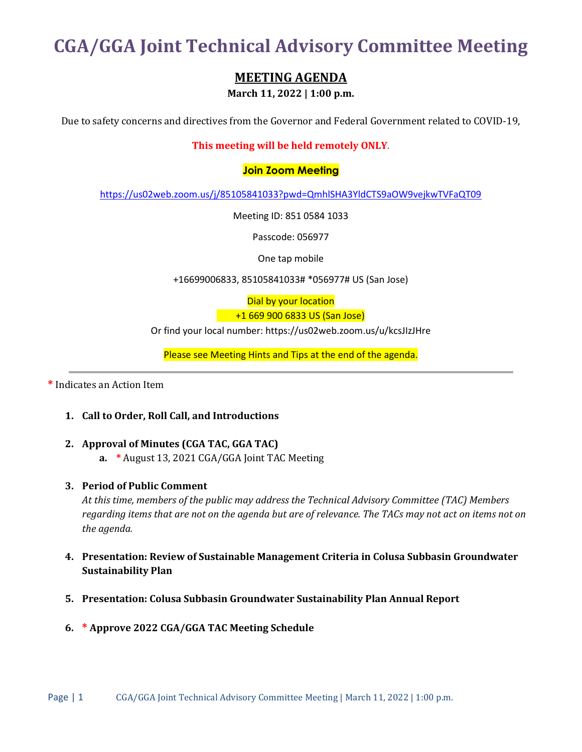**CGA/GGA Joint Technical Advisory Committee Meeting**

# **MEETING AGENDA**

**March 11, 2022 | 1:00 p.m.**

Due to safety concerns and directives from the Governor and Federal Government related to COVID-19,

# **This meeting will be held remotely ONLY**.

### **Join Zoom Meeting**

<https://us02web.zoom.us/j/85105841033?pwd=QmhlSHA3YldCTS9aOW9vejkwTVFaQT09>

Meeting ID: 851 0584 1033

Passcode: 056977

One tap mobile

+16699006833, 85105841033# \*056977# US (San Jose)

Dial by your location +1 669 900 6833 US (San Jose)

Or find your local number: https://us02web.zoom.us/u/kcsJIzJHre

Please see Meeting Hints and Tips at the end of the agenda.

**\*** Indicates an Action Item

#### **1. Call to Order, Roll Call, and Introductions**

- **2. Approval of Minutes (CGA TAC, GGA TAC)**
	- **a. \*** August 13, 2021 CGA/GGA Joint TAC Meeting
- **3. Period of Public Comment**

*At this time, members of the public may address the Technical Advisory Committee (TAC) Members regarding items that are not on the agenda but are of relevance. The TACs may not act on items not on the agenda.*

- **4. Presentation: Review of Sustainable Management Criteria in Colusa Subbasin Groundwater Sustainability Plan**
- **5. Presentation: Colusa Subbasin Groundwater Sustainability Plan Annual Report**
- **6. \* Approve 2022 CGA/GGA TAC Meeting Schedule**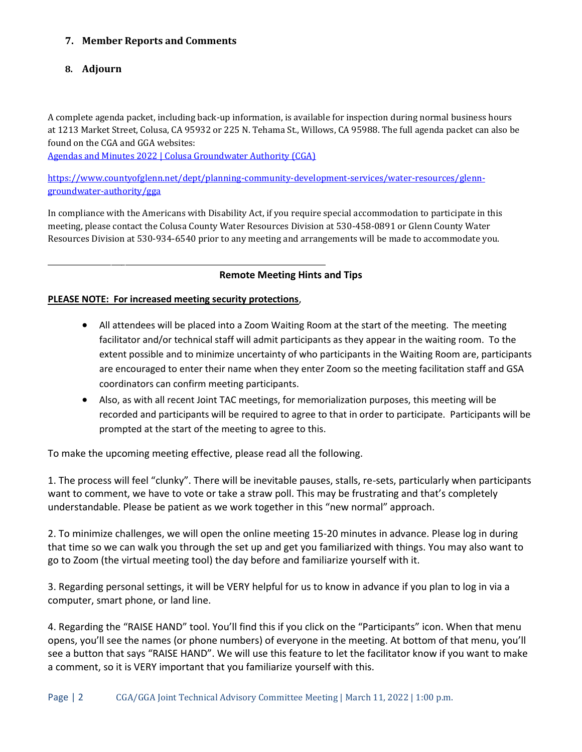# **7. Member Reports and Comments**

### **8. Adjourn**

A complete agenda packet, including back-up information, is available for inspection during normal business hours at 1213 Market Street, Colusa, CA 95932 or 225 N. Tehama St., Willows, CA 95988. The full agenda packet can also be found on the CGA and GGA websites:

[Agendas and Minutes 2022 | Colusa Groundwater Authority \(CGA\)](https://colusagroundwater.org/meetings/agendas-and-minutes-2022/)

[https://www.countyofglenn.net/dept/planning-community-development-services/water-resources/glenn](https://www.countyofglenn.net/dept/planning-community-development-services/water-resources/glenn-groundwater-authority/gga)[groundwater-authority/gga](https://www.countyofglenn.net/dept/planning-community-development-services/water-resources/glenn-groundwater-authority/gga)

In compliance with the Americans with Disability Act, if you require special accommodation to participate in this meeting, please contact the Colusa County Water Resources Division at 530-458-0891 or Glenn County Water Resources Division at 530-934-6540 prior to any meeting and arrangements will be made to accommodate you.

#### **Remote Meeting Hints and Tips**

## **PLEASE NOTE: For increased meeting security protections**,

\_\_\_\_\_\_\_\_\_\_\_\_\_\_\_\_\_\_\_\_\_\_\_\_\_\_\_\_\_\_\_\_\_\_\_\_\_\_\_\_\_\_\_\_\_\_\_\_\_\_\_\_\_\_\_\_\_\_\_\_\_\_\_\_\_\_\_\_\_\_\_\_\_\_\_\_\_\_\_

- All attendees will be placed into a Zoom Waiting Room at the start of the meeting. The meeting facilitator and/or technical staff will admit participants as they appear in the waiting room. To the extent possible and to minimize uncertainty of who participants in the Waiting Room are, participants are encouraged to enter their name when they enter Zoom so the meeting facilitation staff and GSA coordinators can confirm meeting participants.
- Also, as with all recent Joint TAC meetings, for memorialization purposes, this meeting will be recorded and participants will be required to agree to that in order to participate. Participants will be prompted at the start of the meeting to agree to this.

To make the upcoming meeting effective, please read all the following.

1. The process will feel "clunky". There will be inevitable pauses, stalls, re-sets, particularly when participants want to comment, we have to vote or take a straw poll. This may be frustrating and that's completely understandable. Please be patient as we work together in this "new normal" approach.

2. To minimize challenges, we will open the online meeting 15-20 minutes in advance. Please log in during that time so we can walk you through the set up and get you familiarized with things. You may also want to go to Zoom (the virtual meeting tool) the day before and familiarize yourself with it.

3. Regarding personal settings, it will be VERY helpful for us to know in advance if you plan to log in via a computer, smart phone, or land line.

4. Regarding the "RAISE HAND" tool. You'll find this if you click on the "Participants" icon. When that menu opens, you'll see the names (or phone numbers) of everyone in the meeting. At bottom of that menu, you'll see a button that says "RAISE HAND". We will use this feature to let the facilitator know if you want to make a comment, so it is VERY important that you familiarize yourself with this.